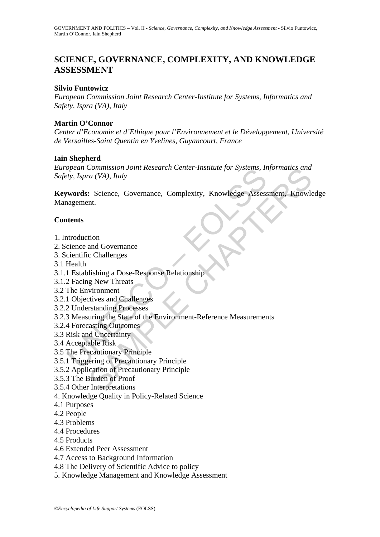# **SCIENCE, GOVERNANCE, COMPLEXITY, AND KNOWLEDGE ASSESSMENT**

#### **Silvio Funtowicz**

*European Commission Joint Research Center-Institute for Systems, Informatics and Safety, Ispra (VA), Italy* 

#### **Martin O'Connor**

*Center d'Economie et d'Ethique pour l'Environnement et le Développement, Université de Versailles-Saint Quentin en Yvelines, Guyancourt, France* 

#### **Iain Shepherd**

*European Commission Joint Research Center-Institute for Systems, Informatics and Safety, Ispra (VA), Italy* 

Solution Commission John Research Center-Institute for systems, In<br>try, Ispra (VA), Italy<br> **words:** Science, Governance, Complexity, Knowledge Assess<br>
nagement.<br> **ttents**<br>
attroduction<br>
tents<br>
tents<br>
It Establishing a Dose Commission Joint Research Center-Institute for Systems, Informatics and<br>
a (VA), Italy<br>
Secience, Governance, Complexity, Knowledge Assessment, Knowle<br>
Int.<br>
Ition<br>
and Governance<br>
c Challenges<br>
Silshing a Dose-Response Re **Keywords:** Science, Governance, Complexity, Knowledge Assessment, Knowledge Management.

#### **Contents**

- 1. Introduction
- 2. Science and Governance
- 3. Scientific Challenges
- 3.1 Health
- 3.1.1 Establishing a Dose-Response Relationship
- 3.1.2 Facing New Threats
- 3.2 The Environment
- 3.2.1 Objectives and Challenges
- 3.2.2 Understanding Processes
- 3.2.3 Measuring the State of the Environment-Reference Measurements
- 3.2.4 Forecasting Outcomes
- 3.3 Risk and Uncertainty
- 3.4 Acceptable Risk
- 3.5 The Precautionary Principle
- 3.5.1 Triggering of Precautionary Principle
- 3.5.2 Application of Precautionary Principle
- 3.5.3 The Burden of Proof
- 3.5.4 Other Interpretations
- 4. Knowledge Quality in Policy-Related Science
- 4.1 Purposes
- 4.2 People
- 4.3 Problems
- 4.4 Procedures
- 4.5 Products
- 4.6 Extended Peer Assessment
- 4.7 Access to Background Information
- 4.8 The Delivery of Scientific Advice to policy
- 5. Knowledge Management and Knowledge Assessment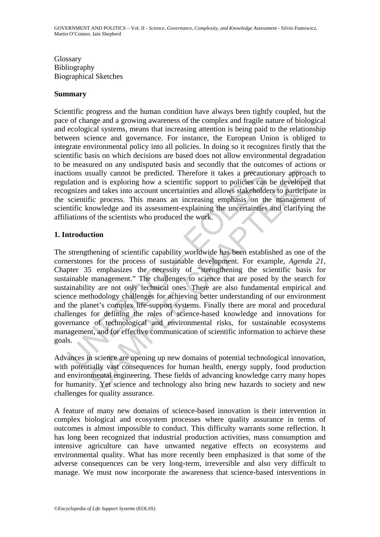Glossary Bibliography Biographical Sketches

#### **Summary**

Scientific progress and the human condition have always been tightly coupled, but the pace of change and a growing awareness of the complex and fragile nature of biological and ecological systems, means that increasing attention is being paid to the relationship between science and governance. For instance, the European Union is obliged to integrate environmental policy into all policies. In doing so it recognizes firstly that the scientific basis on which decisions are based does not allow environmental degradation to be measured on any undisputed basis and secondly that the outcomes of actions or inactions usually cannot be predicted. Therefore it takes a precautionary approach to regulation and is exploring how a scientific support to policies can be developed that recognizes and takes into account uncertainties and allows stakeholders to participate in the scientific process. This means an increasing emphasis on the management of scientific knowledge and its assessment-explaining the uncertainties and clarifying the affiliations of the scientists who produced the work.

#### **1. Introduction**

tions usually cannot be predicted. Therefore it takes a precauti<br>alation and is exploring how a scientific support to policies can<br>gnizes and takes into account uncertainties and allows stakehold<br>scientific knowledge and i Samply cannot be predicted. Therefore it takes a precautionary approace and is exploring how a scientific support to policies can be developed and takes in account uncertainties and dismission for predicted or participatio The strengthening of scientific capability worldwide has been established as one of the cornerstones for the process of sustainable development. For example, *Agenda 21*, Chapter 35 emphasizes the necessity of "strengthening the scientific basis for sustainable management." The challenges to science that are posed by the search for sustainability are not only technical ones. There are also fundamental empirical and science methodology challenges for achieving better understanding of our environment and the planet's complex life-support systems. Finally there are moral and procedural challenges for defining the roles of science-based knowledge and innovations for governance of technological and environmental risks, for sustainable ecosystems management, and for effective communication of scientific information to achieve these goals.

Advances in science are opening up new domains of potential technological innovation, with potentially vast consequences for human health, energy supply, food production and environmental engineering. These fields of advancing knowledge carry many hopes for humanity. Yet science and technology also bring new hazards to society and new challenges for quality assurance.

A feature of many new domains of science-based innovation is their intervention in complex biological and ecosystem processes where quality assurance in terms of outcomes is almost impossible to conduct. This difficulty warrants some reflection. It has long been recognized that industrial production activities, mass consumption and intensive agriculture can have unwanted negative effects on ecosystems and environmental quality. What has more recently been emphasized is that some of the adverse consequences can be very long-term, irreversible and also very difficult to manage. We must now incorporate the awareness that science-based interventions in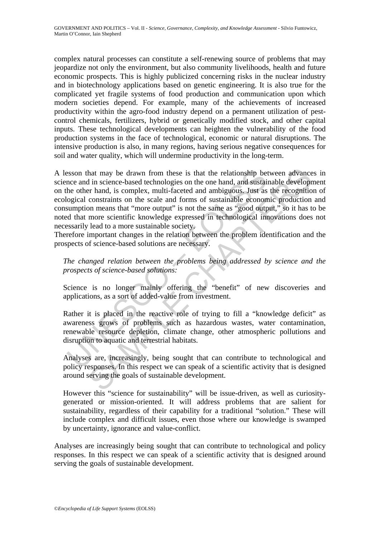complex natural processes can constitute a self-renewing source of problems that may jeopardize not only the environment, but also community livelihoods, health and future economic prospects. This is highly publicized concerning risks in the nuclear industry and in biotechnology applications based on genetic engineering. It is also true for the complicated yet fragile systems of food production and communication upon which modern societies depend. For example, many of the achievements of increased productivity within the agro-food industry depend on a permanent utilization of pestcontrol chemicals, fertilizers, hybrid or genetically modified stock, and other capital inputs. These technological developments can heighten the vulnerability of the food production systems in the face of technological, economic or natural disruptions. The intensive production is also, in many regions, having serious negative consequences for soil and water quality, which will undermine productivity in the long-term.

esson that may be drawn from these is that the relationship be<br>nce and in science-based technologies on the one hand, and sustai<br>he other hand, is complex, multi-faceted and ambiguous. Just as<br>ogical constraints on the sca that may be drawn from these is that the relationship between advance<br>in science-based technologies on the one hand, and sustainable development hand, is complex, multi-faceted and ambiguous. Just as the recognition<br>constr A lesson that may be drawn from these is that the relationship between advances in science and in science-based technologies on the one hand, and sustainable development on the other hand, is complex, multi-faceted and ambiguous. Just as the recognition of ecological constraints on the scale and forms of sustainable economic production and consumption means that "more output" is not the same as "good output," so it has to be noted that more scientific knowledge expressed in technological innovations does not necessarily lead to a more sustainable society.

Therefore important changes in the relation between the problem identification and the prospects of science-based solutions are necessary.

*The changed relation between the problems being addressed by science and the prospects of science-based solutions:* 

Science is no longer mainly offering the "benefit" of new discoveries and applications, as a sort of added-value from investment.

Rather it is placed in the reactive role of trying to fill a "knowledge deficit" as awareness grows of problems such as hazardous wastes, water contamination, renewable resource depletion, climate change, other atmospheric pollutions and disruption to aquatic and terrestrial habitats.

Analyses are, increasingly, being sought that can contribute to technological and policy responses. In this respect we can speak of a scientific activity that is designed around serving the goals of sustainable development.

However this "science for sustainability" will be issue-driven, as well as curiositygenerated or mission-oriented. It will address problems that are salient for sustainability, regardless of their capability for a traditional "solution." These will include complex and difficult issues, even those where our knowledge is swamped by uncertainty, ignorance and value-conflict.

Analyses are increasingly being sought that can contribute to technological and policy responses. In this respect we can speak of a scientific activity that is designed around serving the goals of sustainable development.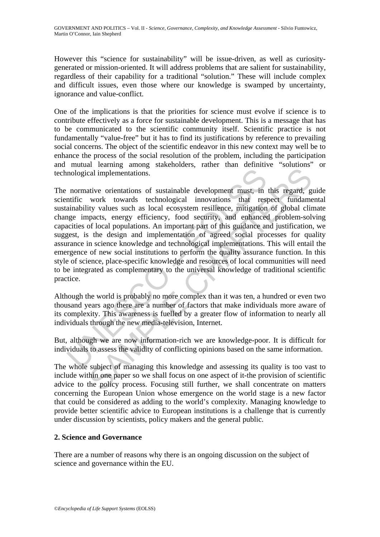However this "science for sustainability" will be issue-driven, as well as curiositygenerated or mission-oriented. It will address problems that are salient for sustainability, regardless of their capability for a traditional "solution." These will include complex and difficult issues, even those where our knowledge is swamped by uncertainty, ignorance and value-conflict.

One of the implications is that the priorities for science must evolve if science is to contribute effectively as a force for sustainable development. This is a message that has to be communicated to the scientific community itself. Scientific practice is not fundamentally "value-free" but it has to find its justifications by reference to prevailing social concerns. The object of the scientific endeavor in this new context may well be to enhance the process of the social resolution of the problem, including the participation and mutual learning among stakeholders, rather than definitive "solutions" or technological implementations.

mological implementations.<br>
normative orientations of sustainable development must, in<br>
ntific work towards technological innovations that res<br>
ainability values such as local ecosystem resilience, mitigation<br>
aignamic imp and implementations.<br>
and implementations of sustainable development must, in this regard, g<br>
work towards technological imnovations that respect fundamentally<br>
values such as local cosystem resilience, mitigation of globa The normative orientations of sustainable development must, in this regard, guide scientific work towards technological innovations that respect fundamental sustainability values such as local ecosystem resilience, mitigation of global climate change impacts, energy efficiency, food security, and enhanced problem-solving capacities of local populations. An important part of this guidance and justification, we suggest, is the design and implementation of agreed social processes for quality assurance in science knowledge and technological implementations. This will entail the emergence of new social institutions to perform the quality assurance function. In this style of science, place-specific knowledge and resources of local communities will need to be integrated as complementary to the universal knowledge of traditional scientific practice.

Although the world is probably no more complex than it was ten, a hundred or even two thousand years ago there are a number of factors that make individuals more aware of its complexity. This awareness is fuelled by a greater flow of information to nearly all individuals through the new media-television, Internet.

But, although we are now information-rich we are knowledge-poor. It is difficult for individuals to assess the validity of conflicting opinions based on the same information.

The whole subject of managing this knowledge and assessing its quality is too vast to include within one paper so we shall focus on one aspect of it-the provision of scientific advice to the policy process. Focusing still further, we shall concentrate on matters concerning the European Union whose emergence on the world stage is a new factor that could be considered as adding to the world's complexity. Managing knowledge to provide better scientific advice to European institutions is a challenge that is currently under discussion by scientists, policy makers and the general public.

## **2. Science and Governance**

There are a number of reasons why there is an ongoing discussion on the subject of science and governance within the EU.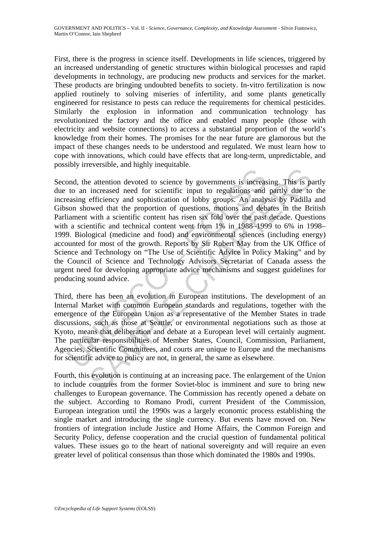First, there is the progress in science itself. Developments in life sciences, triggered by an increased understanding of genetic structures within biological processes and rapid developments in technology, are producing new products and services for the market. These products are bringing undoubted benefits to society. In-vitro fertilization is now applied routinely to solving miseries of infertility, and some plants genetically engineered for resistance to pests can reduce the requirements for chemical pesticides. Similarly the explosion in information and communication technology has revolutionized the factory and the office and enabled many people (those with electricity and website connections) to access a substantial proportion of the world's knowledge from their homes. The promises for the near future are glamorous but the impact of these changes needs to be understood and regulated. We must learn how to cope with innovations, which could have effects that are long-term, unpredictable, and possibly irreversible, and highly inequitable.

and, the attention devoted to science by governments is increased to an increased need for scientific input to regulations and easing efficiency and sophistication of lobby groups. An analy<br>easing efficiency and sophistica e attention devoted to science by governments is increasing. This is piecerased need for sciencitic input to regulations and partly due to efficiency and sophistication of lobby groups. An analysis by Padilla owed that the Second, the attention devoted to science by governments is increasing. This is partly due to an increased need for scientific input to regulations and partly due to the increasing efficiency and sophistication of lobby groups. An analysis by Padilla and Gibson showed that the proportion of questions, motions and debates in the British Parliament with a scientific content has risen six fold over the past decade. Questions with a scientific and technical content went from 1% in 1988–1999 to 6% in 1998– 1999. Biological (medicine and food) and environmental sciences (including energy) accounted for most of the growth. Reports by Sir Robert May from the UK Office of Science and Technology on "The Use of Scientific Advice in Policy Making" and by the Council of Science and Technology Advisors Secretariat of Canada assess the urgent need for developing appropriate advice mechanisms and suggest guidelines for producing sound advice.

Third, there has been an evolution in European institutions. The development of an Internal Market with common European standards and regulations, together with the emergence of the European Union as a representative of the Member States in trade discussions, such as those at Seattle, or environmental negotiations such as those at Kyoto, means that deliberation and debate at a European level will certainly augment. The particular responsibilities of Member States, Council, Commission, Parliament, Agencies, Scientific Committees, and courts are unique to Europe and the mechanisms for scientific advice to policy are not, in general, the same as elsewhere.

Fourth, this evolution is continuing at an increasing pace. The enlargement of the Union to include countries from the former Soviet-bloc is imminent and sure to bring new challenges to European governance. The Commission has recently opened a debate on the subject. According to Romano Prodi, current President of the Commission, European integration until the 1990s was a largely economic process establishing the single market and introducing the single currency. But events have moved on. New frontiers of integration include Justice and Home Affairs, the Common Foreign and Security Policy, defense cooperation and the crucial question of fundamental political values. These issues go to the heart of national sovereignty and will require an even greater level of political consensus than those which dominated the 1980s and 1990s.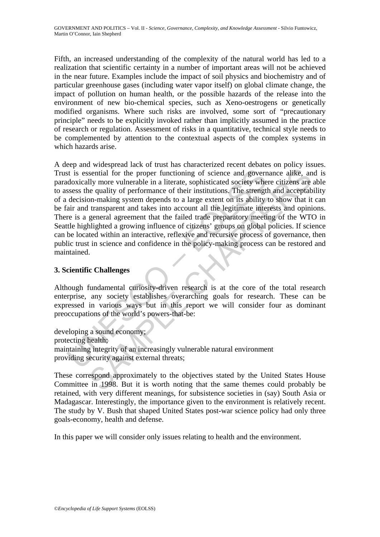Fifth, an increased understanding of the complexity of the natural world has led to a realization that scientific certainty in a number of important areas will not be achieved in the near future. Examples include the impact of soil physics and biochemistry and of particular greenhouse gases (including water vapor itself) on global climate change, the impact of pollution on human health, or the possible hazards of the release into the environment of new bio-chemical species, such as Xeno-oestrogens or genetically modified organisms. Where such risks are involved, some sort of "precautionary principle" needs to be explicitly invoked rather than implicitly assumed in the practice of research or regulation. Assessment of risks in a quantitative, technical style needs to be complemented by attention to the contextual aspects of the complex systems in which hazards arise.

is is essential for the proper functioning of science and govern<br>doxically more vulnerable in a literate, sophisticated society whe<br>sess the quality of performance of their institutions. The strengt<br>decision-making system sential for the proper functioning of science and governance alike, and<br>ly more vulnerable in a literate, sophisticated society where citizens are<br>equality of performance of their institutions. The strength and acceptable<br> A deep and widespread lack of trust has characterized recent debates on policy issues. Trust is essential for the proper functioning of science and governance alike, and is paradoxically more vulnerable in a literate, sophisticated society where citizens are able to assess the quality of performance of their institutions. The strength and acceptability of a decision-making system depends to a large extent on its ability to show that it can be fair and transparent and takes into account all the legitimate interests and opinions. There is a general agreement that the failed trade preparatory meeting of the WTO in Seattle highlighted a growing influence of citizens' groups on global policies. If science can be located within an interactive, reflexive and recursive process of governance, then public trust in science and confidence in the policy-making process can be restored and maintained.

#### **3. Scientific Challenges**

Although fundamental curiosity-driven research is at the core of the total research enterprise, any society establishes overarching goals for research. These can be expressed in various ways but in this report we will consider four as dominant preoccupations of the world's powers-that-be:

developing a sound economy; protecting health; maintaining integrity of an increasingly vulnerable natural environment providing security against external threats;

These correspond approximately to the objectives stated by the United States House Committee in 1998. But it is worth noting that the same themes could probably be retained, with very different meanings, for subsistence societies in (say) South Asia or Madagascar. Interestingly, the importance given to the environment is relatively recent. The study by V. Bush that shaped United States post-war science policy had only three goals-economy, health and defense.

In this paper we will consider only issues relating to health and the environment.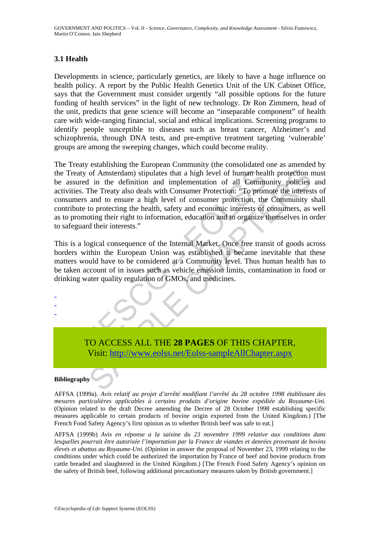## **3.1 Health**

Developments in science, particularly genetics, are likely to have a huge influence on health policy. A report by the Public Health Genetics Unit of the UK Cabinet Office, says that the Government must consider urgently "all possible options for the future funding of health services" in the light of new technology. Dr Ron Zimmern, head of the unit, predicts that gene science will become an "inseparable component" of health care with wide-ranging financial, social and ethical implications. Screening programs to identify people susceptible to diseases such as breast cancer, Alzheimer's and schizophrenia, through DNA tests, and pre-emptive treatment targeting 'vulnerable' groups are among the sweeping changes, which could become reality.

Treaty of Amsterdam) stipulates that a high level of human heal<br>assured in the definition and implementation of all Communities. The Treaty also deals with Consumer Protection: "To prom<br>sumers and to ensure a high level of of Amsterdam) stipulates that a high level of human health protection in the definition and implementation of all Community policies the Treaty also deals with Consumer Protection: "To promote the interests and to ensure a The Treaty establishing the European Community (the consolidated one as amended by the Treaty of Amsterdam) stipulates that a high level of human health protection must be assured in the definition and implementation of all Community policies and activities. The Treaty also deals with Consumer Protection: "To promote the interests of consumers and to ensure a high level of consumer protection, the Community shall contribute to protecting the health, safety and economic interests of consumers, as well as to promoting their right to information, education and to organize themselves in order to safeguard their interests."

This is a logical consequence of the Internal Market. Once free transit of goods across borders within the European Union was established it became inevitable that these matters would have to be considered at a Community level. Thus human health has to be taken account of in issues such as vehicle emission limits, contamination in food or drinking water quality regulation of GMOs, and medicines.

- - -

> TO ACCESS ALL THE **28 PAGES** OF THIS CHAPTER, Visit: http://www.eolss.net/Eolss-sampleAllChapter.aspx

#### **Bibliography**

AFFSA (1999a). *Avis relatif au projet d'arrêté modifiant l'arrêté du 28 octobre 1998 établissant des mesures particulières applicables à certains produits d'origine bovine expédiée du Royaume-Uni.* (Opinion related to the draft Decree amending the Decree of 28 October 1998 establishing specific measures applicable to certain products of bovine origin exported from the United Kingdom.) [The French Food Safety Agency's first opinion as to whether British beef was safe to eat.]

AFFSA (1999b) *Avis en réponse a la saisine du 23 novembre 1999 relative aux conditions dans lesquelles pourrait être autorisée l'importation par la France de viandes et denrées provenant de bovins élevés et abattus au Royaume-Uni.* (Opinion in answer the proposal of November 23, 1999 relating to the conditions under which could be authorized the importation by France of beef and bovine products from cattle breaded and slaughtered in the United Kingdom.) [The French Food Safety Agency's opinion on the safety of British beef, following additional precautionary measures taken by British government.]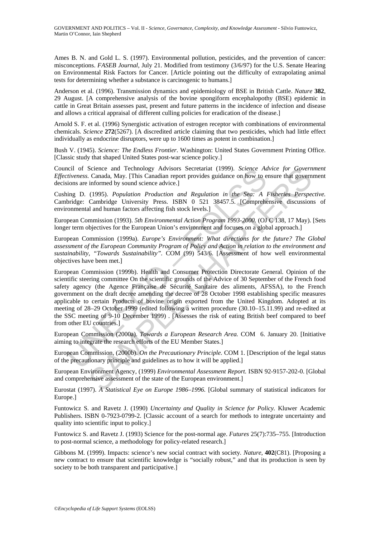Ames B. N. and Gold L. S. (1997). Environmental pollution, pesticides, and the prevention of cancer: misconceptions. *FASEB Journal,* July 21. Modified from testimony (3/6/97) for the U.S. Senate Hearing on Environmental Risk Factors for Cancer. [Article pointing out the difficulty of extrapolating animal tests for determining whether a substance is carcinogenic to humans.]

Anderson et al. (1996). Transmission dynamics and epidemiology of BSE in British Cattle. *Nature* **382**, 29 August. [A comprehensive analysis of the bovine spongiform encephalopothy (BSE) epidemic in cattle in Great Britain assesses past, present and future patterns in the incidence of infection and disease and allows a critical appraisal of different culling policies for eradication of the disease.]

Arnold S. F. et al. (1996) Synergistic activation of estrogen receptor with combinations of environmental chemicals. *Science* **272**(5267). [A discredited article claiming that two pesticides, which had little effect individually as endocrine disruptors, were up to 1600 times as potent in combination.]

Bush V. (1945). *Science: The Endless Frontier*. Washington: United States Government Printing Office. [Classic study that shaped United States post-war science policy.]

Council of Science and Technology Advisors Secretariat (1999). *Science Advice for Government Effectiveness.* Canada, May. [This Canadian report provides guidance on how to ensure that government decisions are informed by sound science advice.]

Cushing D. (1995). *Population Production and Regulation in the Sea: A Fisheries Perspective.* Cambridge: Cambridge University Press. ISBN 0 521 38457.5. [Comprehensive discussions of environmental and human factors affecting fish stock levels.]

European Commission (1993). *5th Environmental Action Program 1993-2000.* (OJ C 138, 17 May). [Sets longer term objectives for the European Union's environment and focuses on a global approach.]

European Commission (1999a). *Europe's Environment: What directions for the future? The Global assessment of the European Community Program of Policy and Action in relation to the environment and sustainability, "Towards Sustainability".* COM (99) 543/6. [Assessment of how well environmental objectives have been met.]

ncel of Science and Technology Advisors Secretariat (1999). Science Advisors Science and Technology Advisors Secretariat (1999). *Science Advisors* are informed by sound science advice.]<br>
ing D. (1995). *Population Product* Science and Technology Advisors Secretariat (1999). *Science Advice for Govern*<br>Canada, May. [This Canadian report provides guidance on how to ensure that govern<br>informed by sound science advice.]<br>(1995). *Population Prod* European Commission (1999b). Health and Consumer Protection Directorate General. Opinion of the scientific steering committee On the scientific grounds of the Advice of 30 September of the French food safety agency (the Agence Française de Sécurité Sanitaire des aliments, AFSSA), to the French government on the draft decree amending the decree of 28 October 1998 establishing specific measures applicable to certain Products of bovine origin exported from the United Kingdom. Adopted at its meeting of 28–29 October 1999 (edited following a written procedure (30.10–15.11.99) and re-edited at the SSC meeting of 9-10 December 1999) . [Assesses the risk of eating British beef compared to beef from other EU countries.]

European Commission (2000a). *Towards a European Research Area.* COM 6. January 20. [Initiative aiming to integrate the research efforts of the EU Member States.]

European Commission, (2000b). *On the Precautionary Principle.* COM 1. [Description of the legal status of the precautionary principle and guidelines as to how it will be applied.]

European Environment Agency, (1999) *Environmental Assessment Report.* ISBN 92-9157-202-0. [Global and comprehensive assessment of the state of the European environment.]

Eurostat (1997). *A Statistical Eye on Europe 1986–1996.* [Global summary of statistical indicators for Europe.]

Funtowicz S. and Ravetz J. (1990) *Uncertainty and Quality in Science for Policy.* Kluwer Academic Publishers. ISBN 0-7923-0799-2. [Classic account of a search for methods to integrate uncertainty and quality into scientific input to policy.]

Funtowicz S. and Ravetz J. (1993) Science for the post-normal age. *Futures* 25(7):735–755. [Introduction to post-normal science, a methodology for policy-related research.]

Gibbons M. (1999). Impacts: science's new social contract with society*. Nature*, **402**(C81). [Proposing a new contract to ensure that scientific knowledge is "socially robust," and that its production is seen by society to be both transparent and participative.]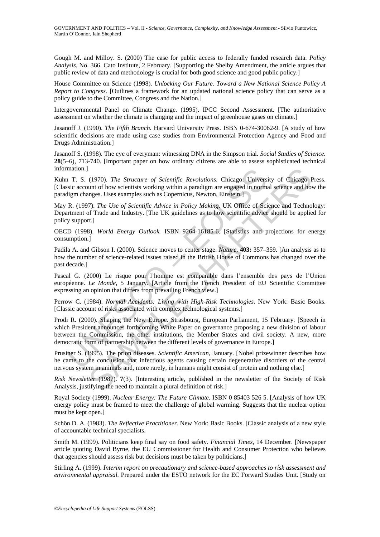Gough M. and Milloy. S. (2000) The case for public access to federally funded research data. *Policy Analysis*, No. 366. Cato Institute, 2 February. [Supporting the Shelby Amendment, the article argues that public review of data and methodology is crucial for both good science and good public policy.]

House Committee on Science (1998). *Unlocking Our Future. Toward a New National Science Policy A Report to Congress.* [Outlines a framework for an updated national science policy that can serve as a policy guide to the Committee, Congress and the Nation.]

Intergovernmental Panel on Climate Change. (1995). IPCC Second Assessment. [The authoritative assessment on whether the climate is changing and the impact of greenhouse gases on climate.]

Jasanoff J. (1990). *The Fifth Branch.* Harvard University Press. ISBN 0-674-30062-9. [A study of how scientific decisions are made using case studies from Environmental Protection Agency and Food and Drugs Administration.]

Jasanoff S. (1998). The eye of everyman: witnessing DNA in the Simpson trial. *Social Studies of Science.* **28**(5–6), 713-740. [Important paper on how ordinary citizens are able to assess sophisticated technical information.]

Kuhn T. S. (1970). *The Structure of Scientific Revolutions*. Chicago: University of Chicago Press. [Classic account of how scientists working within a paradigm are engaged in normal science and how the paradigm changes. Uses examples such as Copernicus, Newton, Einstein.]

May R. (1997). *The Use of Scientific Advice in Policy Making.* UK Office of Science and Technology: Department of Trade and Industry. [The UK guidelines as to how scientific advice should be applied for policy support.]

OECD (1998). *World Energy Outlook.* ISBN 9264-16185-6. [Statistics and projections for energy consumption.]

Padila A. and Gibson I. (2000). Science moves to center stage. *Nature*, **403:** 357–359. [An analysis as to how the number of science-related issues raised in the British House of Commons has changed over the past decade.]

Pascal G. (2000) Le risque pour l'homme est comparable dans l'ensemble des pays de l'Union européenne. *Le Monde*, 5 January. [Article from the French President of EU Scientific Committee expressing an opinion that differs from prevailing French view.]

Perrow C. (1984). *Normal Accidents: Living with High-Risk Technologies*. New York: Basic Books. [Classic account of risks associated with complex technological systems.]

mation.]<br>
1. T. S. (1970). The *Structure of Scientific Revolutions*. Chicago: Univers<br>
sisic account of how scientists working within a paradigm are engaged in normatigm<br>
charges. Uses examples such as Copernicus, Newton (1970). The Structure of Scientific Revolutions. Chicago: University of Chicago tunt of how scientists working within a paradigm are engaged in normal science and homes. Uses examples such as Copernicus, Newton, Einstein. Prodi R. (2000). Shaping the New Europe. Strasbourg, European Parliament, 15 February. [Speech in which President announces forthcoming White Paper on governance proposing a new division of labour between the Commission, the other institutions, the Member States and civil society. A new, more democratic form of partnership between the different levels of governance in Europe.]

Prusiner S. (1995). The prion diseases. *Scientific American*, January. [Nobel prizewinner describes how he came to the conclusion that infectious agents causing certain degenerative disorders of the central nervous system in animals and, more rarely, in humans might consist of protein and nothing else.]

*Risk Newsletter* (1987). **7**(3). [Interesting article, published in the newsletter of the Society of Risk Analysis, justifying the need to maintain a plural definition of risk.]

Royal Society (1999). *Nuclear Energy: The Future Climate.* ISBN 0 85403 526 5. [Analysis of how UK energy policy must be framed to meet the challenge of global warming. Suggests that the nuclear option must be kept open.]

Schön D. A. (1983). *The Reflective Practitioner*. New York: Basic Books. [Classic analysis of a new style of accountable technical specialists.

Smith M. (1999). Politicians keep final say on food safety. *Financial Times*, 14 December. [Newspaper article quoting David Byrne, the EU Commissioner for Health and Consumer Protection who believes that agencies should assess risk but decisions must be taken by politicians.]

Stirling A. (1999). *Interim report on precautionary and science-based approaches to risk assessment and environmental appraisal.* Prepared under the ESTO network for the EC Forward Studies Unit. [Study on